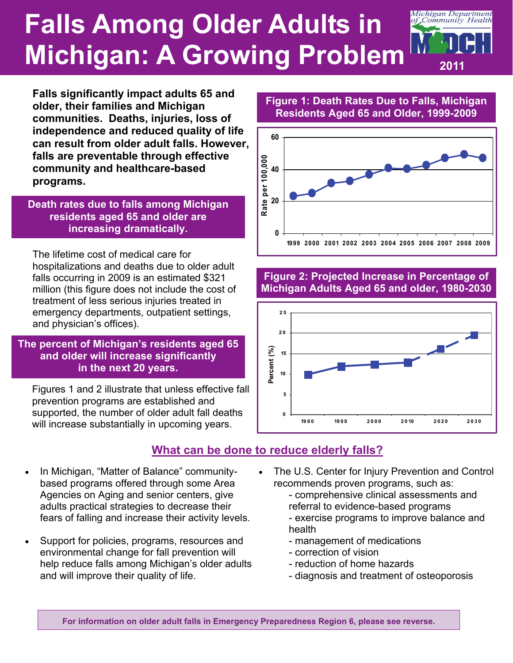# **Falls Among Older Adults in Michigan: A Growing Problem**



**Falls significantly impact adults 65 and older, their families and Michigan communities. Deaths, injuries, loss of independence and reduced quality of life can result from older adult falls. However, falls are preventable through effective community and healthcare-based programs.** 

**Death rates due to falls among Michigan residents aged 65 and older are increasing dramatically.** 

The lifetime cost of medical care for hospitalizations and deaths due to older adult falls occurring in 2009 is an estimated \$321 million (this figure does not include the cost of treatment of less serious injuries treated in emergency departments, outpatient settings, and physician's offices).

#### **The percent of Michigan's residents aged 65 and older will increase significantly in the next 20 years.**

Figures 1 and 2 illustrate that unless effective fall prevention programs are established and supported, the number of older adult fall deaths will increase substantially in upcoming years.

## **What can be done to reduce elderly falls?**

- In Michigan, "Matter of Balance" communitybased programs offered through some Area Agencies on Aging and senior centers, give adults practical strategies to decrease their fears of falling and increase their activity levels.
- Support for policies, programs, resources and environmental change for fall prevention will help reduce falls among Michigan's older adults and will improve their quality of life.

#### **Figure 1: Death Rates Due to Falls, Michigan Residents Aged 65 and Older, 1999-2009**



#### **Figure 2: Projected Increase in Percentage of Michigan Adults Aged 65 and older, 1980-2030**



#### The U.S. Center for Injury Prevention and Control recommends proven programs, such as:

- comprehensive clinical assessments and referral to evidence-based programs

- exercise programs to improve balance and health
- management of medications
- correction of vision
- reduction of home hazards
- diagnosis and treatment of osteoporosis

**For information on older adult falls in Emergency Preparedness Region 6, please see reverse.**